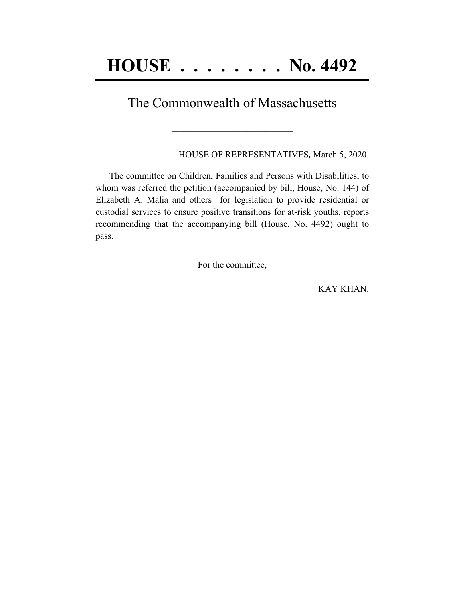## The Commonwealth of Massachusetts

**\_\_\_\_\_\_\_\_\_\_\_\_\_\_\_\_\_\_\_\_\_\_\_\_\_\_\_\_\_\_\_\_\_\_\_\_\_\_\_\_**

HOUSE OF REPRESENTATIVES*,* March 5, 2020.

The committee on Children, Families and Persons with Disabilities, to whom was referred the petition (accompanied by bill, House, No. 144) of Elizabeth A. Malia and others for legislation to provide residential or custodial services to ensure positive transitions for at-risk youths, reports recommending that the accompanying bill (House, No. 4492) ought to pass.

For the committee,

KAY KHAN.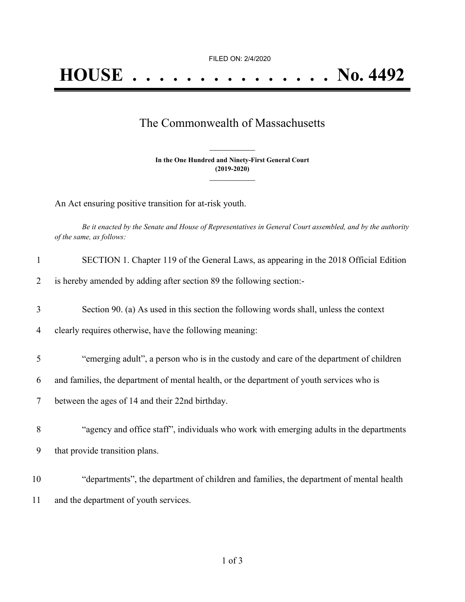## The Commonwealth of Massachusetts

**In the One Hundred and Ninety-First General Court (2019-2020) \_\_\_\_\_\_\_\_\_\_\_\_\_\_\_**

**\_\_\_\_\_\_\_\_\_\_\_\_\_\_\_**

An Act ensuring positive transition for at-risk youth.

Be it enacted by the Senate and House of Representatives in General Court assembled, and by the authority *of the same, as follows:*

| 1  | SECTION 1. Chapter 119 of the General Laws, as appearing in the 2018 Official Edition     |
|----|-------------------------------------------------------------------------------------------|
| 2  | is hereby amended by adding after section 89 the following section:-                      |
| 3  | Section 90. (a) As used in this section the following words shall, unless the context     |
| 4  | clearly requires otherwise, have the following meaning:                                   |
| 5  | "emerging adult", a person who is in the custody and care of the department of children   |
| 6  | and families, the department of mental health, or the department of youth services who is |
| 7  | between the ages of 14 and their 22nd birthday.                                           |
| 8  | "agency and office staff", individuals who work with emerging adults in the departments   |
| 9  | that provide transition plans.                                                            |
| 10 | "departments", the department of children and families, the department of mental health   |
| 11 | and the department of youth services.                                                     |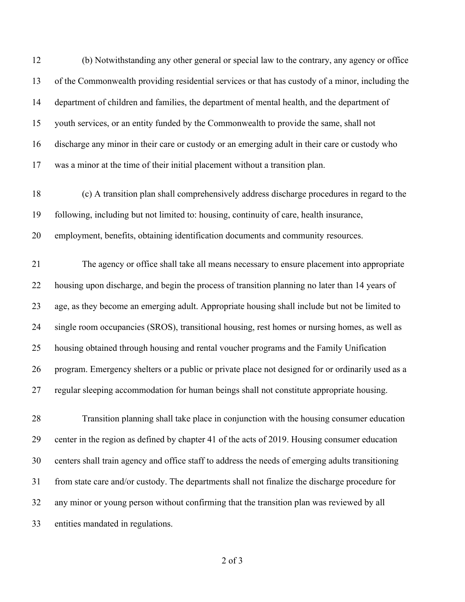(b) Notwithstanding any other general or special law to the contrary, any agency or office of the Commonwealth providing residential services or that has custody of a minor, including the department of children and families, the department of mental health, and the department of youth services, or an entity funded by the Commonwealth to provide the same, shall not discharge any minor in their care or custody or an emerging adult in their care or custody who was a minor at the time of their initial placement without a transition plan.

 (c) A transition plan shall comprehensively address discharge procedures in regard to the following, including but not limited to: housing, continuity of care, health insurance, employment, benefits, obtaining identification documents and community resources.

 The agency or office shall take all means necessary to ensure placement into appropriate housing upon discharge, and begin the process of transition planning no later than 14 years of age, as they become an emerging adult. Appropriate housing shall include but not be limited to single room occupancies (SROS), transitional housing, rest homes or nursing homes, as well as housing obtained through housing and rental voucher programs and the Family Unification program. Emergency shelters or a public or private place not designed for or ordinarily used as a regular sleeping accommodation for human beings shall not constitute appropriate housing.

 Transition planning shall take place in conjunction with the housing consumer education center in the region as defined by chapter 41 of the acts of 2019. Housing consumer education centers shall train agency and office staff to address the needs of emerging adults transitioning from state care and/or custody. The departments shall not finalize the discharge procedure for any minor or young person without confirming that the transition plan was reviewed by all entities mandated in regulations.

of 3